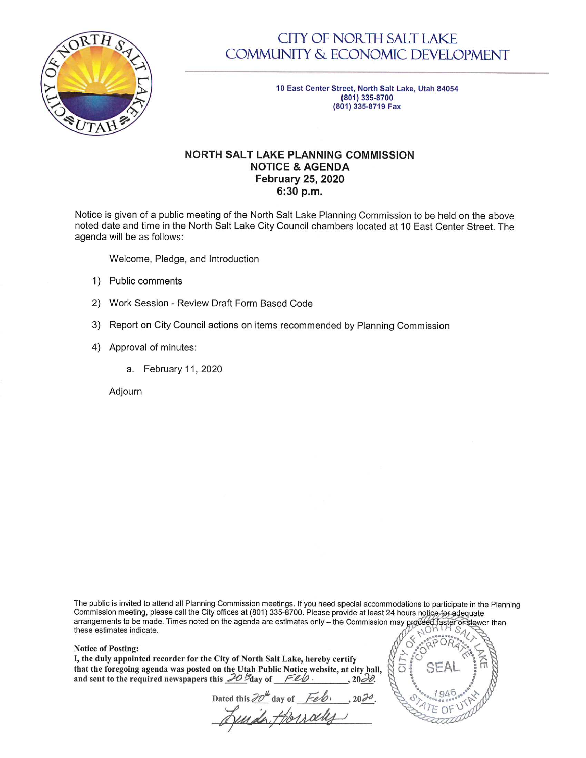

## **CITY OF NORTH SALT LAKE COMMUNITY & ECONOMIC DEVELOPMENT**

10 East Center Street, North Salt Lake, Utah 84054 (801) 335-8700 (801) 335-8719 Fax

## **NORTH SALT LAKE PLANNING COMMISSION NOTICE & AGENDA February 25, 2020** 6:30 p.m.

Notice is given of a public meeting of the North Salt Lake Planning Commission to be held on the above noted date and time in the North Salt Lake City Council chambers located at 10 East Center Street. The agenda will be as follows:

Welcome, Pledge, and Introduction

- 1) Public comments
- 2) Work Session Review Draft Form Based Code
- 3) Report on City Council actions on items recommended by Planning Commission
- 4) Approval of minutes:
	- a. February 11, 2020

Adjourn

The public is invited to attend all Planning Commission meetings. If you need special accommodations to participate in the Planning Commission meeting, please call the City offices at (801) 335-8700. Please provide at least 24 hours notice for adequate arrangements to be made. Times noted on the agenda are estimates only - the Commission may proceed faster or slower than these estimates indicate.

ō

## **Notice of Posting:**

I, the duly appointed recorder for the City of North Salt Lake, hereby certify that the foregoing agenda was posted on the Utah Public Notice website, at city hall, and sent to the required newspapers this  $20\%$ day of Feb.  $, 20\overline{30}$ .

Dated this 20th day of Feb.<br>Autrack Horrocky  $, 2020$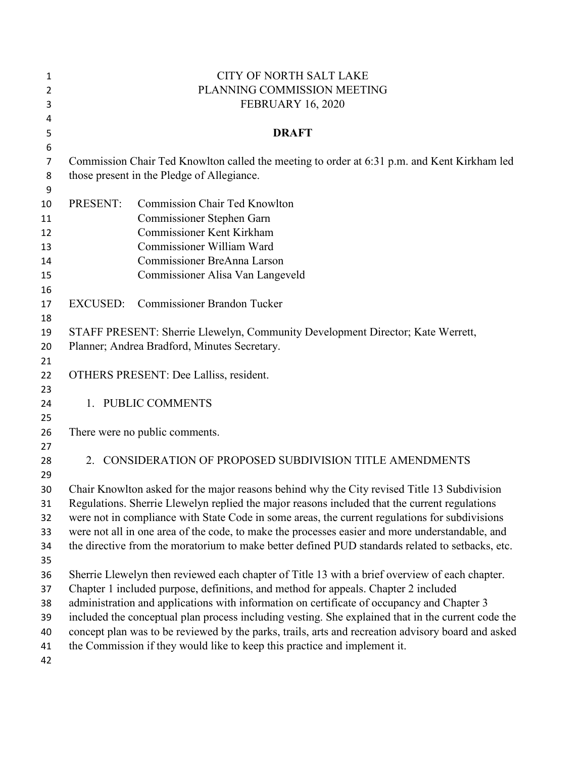| 1              | <b>CITY OF NORTH SALT LAKE</b>                                                                                                                                                                    |                                                                                                |  |  |
|----------------|---------------------------------------------------------------------------------------------------------------------------------------------------------------------------------------------------|------------------------------------------------------------------------------------------------|--|--|
| $\overline{2}$ | PLANNING COMMISSION MEETING                                                                                                                                                                       |                                                                                                |  |  |
| 3              | <b>FEBRUARY 16, 2020</b>                                                                                                                                                                          |                                                                                                |  |  |
| 4              |                                                                                                                                                                                                   |                                                                                                |  |  |
| 5              |                                                                                                                                                                                                   | <b>DRAFT</b>                                                                                   |  |  |
| 6              |                                                                                                                                                                                                   |                                                                                                |  |  |
| 7              | Commission Chair Ted Knowlton called the meeting to order at 6:31 p.m. and Kent Kirkham led                                                                                                       |                                                                                                |  |  |
| 8              |                                                                                                                                                                                                   | those present in the Pledge of Allegiance.                                                     |  |  |
| 9              |                                                                                                                                                                                                   |                                                                                                |  |  |
| 10             | PRESENT:                                                                                                                                                                                          | <b>Commission Chair Ted Knowlton</b>                                                           |  |  |
| 11             |                                                                                                                                                                                                   | Commissioner Stephen Garn<br><b>Commissioner Kent Kirkham</b>                                  |  |  |
| 12<br>13       |                                                                                                                                                                                                   | Commissioner William Ward                                                                      |  |  |
| 14             |                                                                                                                                                                                                   | Commissioner BreAnna Larson                                                                    |  |  |
| 15             |                                                                                                                                                                                                   | Commissioner Alisa Van Langeveld                                                               |  |  |
| 16             |                                                                                                                                                                                                   |                                                                                                |  |  |
| 17             | <b>EXCUSED:</b>                                                                                                                                                                                   | <b>Commissioner Brandon Tucker</b>                                                             |  |  |
| 18             |                                                                                                                                                                                                   |                                                                                                |  |  |
| 19             | STAFF PRESENT: Sherrie Llewelyn, Community Development Director; Kate Werrett,                                                                                                                    |                                                                                                |  |  |
| 20             | Planner; Andrea Bradford, Minutes Secretary.                                                                                                                                                      |                                                                                                |  |  |
| 21             |                                                                                                                                                                                                   |                                                                                                |  |  |
| 22             |                                                                                                                                                                                                   | OTHERS PRESENT: Dee Lalliss, resident.                                                         |  |  |
| 23             |                                                                                                                                                                                                   |                                                                                                |  |  |
| 24             |                                                                                                                                                                                                   | 1. PUBLIC COMMENTS                                                                             |  |  |
| 25             |                                                                                                                                                                                                   |                                                                                                |  |  |
| 26             | There were no public comments.                                                                                                                                                                    |                                                                                                |  |  |
| 27             |                                                                                                                                                                                                   |                                                                                                |  |  |
| 28             |                                                                                                                                                                                                   | 2. CONSIDERATION OF PROPOSED SUBDIVISION TITLE AMENDMENTS                                      |  |  |
| 29             |                                                                                                                                                                                                   |                                                                                                |  |  |
| 30             | Chair Knowlton asked for the major reasons behind why the City revised Title 13 Subdivision<br>Regulations. Sherrie Llewelyn replied the major reasons included that the current regulations      |                                                                                                |  |  |
| 31<br>32       |                                                                                                                                                                                                   |                                                                                                |  |  |
| 33             | were not in compliance with State Code in some areas, the current regulations for subdivisions<br>were not all in one area of the code, to make the processes easier and more understandable, and |                                                                                                |  |  |
| 34             | the directive from the moratorium to make better defined PUD standards related to setbacks, etc.                                                                                                  |                                                                                                |  |  |
| 35             |                                                                                                                                                                                                   |                                                                                                |  |  |
| 36             |                                                                                                                                                                                                   | Sherrie Llewelyn then reviewed each chapter of Title 13 with a brief overview of each chapter. |  |  |
| 37             | Chapter 1 included purpose, definitions, and method for appeals. Chapter 2 included                                                                                                               |                                                                                                |  |  |
| 38             | administration and applications with information on certificate of occupancy and Chapter 3                                                                                                        |                                                                                                |  |  |
| 39             | included the conceptual plan process including vesting. She explained that in the current code the                                                                                                |                                                                                                |  |  |
| 40             | concept plan was to be reviewed by the parks, trails, arts and recreation advisory board and asked                                                                                                |                                                                                                |  |  |
| 41             |                                                                                                                                                                                                   | the Commission if they would like to keep this practice and implement it.                      |  |  |
| 42             |                                                                                                                                                                                                   |                                                                                                |  |  |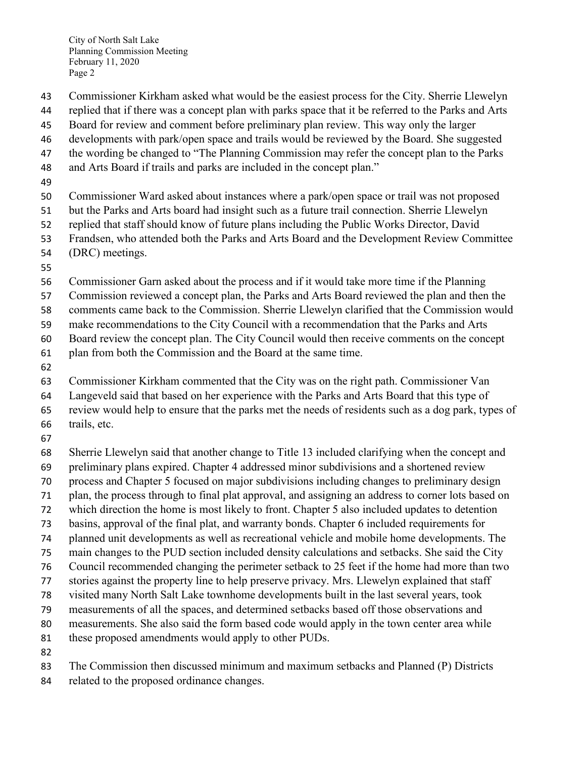City of North Salt Lake Planning Commission Meeting February 11, 2020 Page 2

- Commissioner Kirkham asked what would be the easiest process for the City. Sherrie Llewelyn
- replied that if there was a concept plan with parks space that it be referred to the Parks and Arts
- Board for review and comment before preliminary plan review. This way only the larger
- developments with park/open space and trails would be reviewed by the Board. She suggested
- 47 the wording be changed to "The Planning Commission may refer the concept plan to the Parks
- and Arts Board if trails and parks are included in the concept plan."
- 
- Commissioner Ward asked about instances where a park/open space or trail was not proposed
- but the Parks and Arts board had insight such as a future trail connection. Sherrie Llewelyn
- replied that staff should know of future plans including the Public Works Director, David
- Frandsen, who attended both the Parks and Arts Board and the Development Review Committee
- (DRC) meetings.
- 
- Commissioner Garn asked about the process and if it would take more time if the Planning
- Commission reviewed a concept plan, the Parks and Arts Board reviewed the plan and then the
- comments came back to the Commission. Sherrie Llewelyn clarified that the Commission would
- make recommendations to the City Council with a recommendation that the Parks and Arts
- Board review the concept plan. The City Council would then receive comments on the concept
- plan from both the Commission and the Board at the same time.
- 
- Commissioner Kirkham commented that the City was on the right path. Commissioner Van
- Langeveld said that based on her experience with the Parks and Arts Board that this type of
- review would help to ensure that the parks met the needs of residents such as a dog park, types of
- trails, etc.
- 
- Sherrie Llewelyn said that another change to Title 13 included clarifying when the concept and
- preliminary plans expired. Chapter 4 addressed minor subdivisions and a shortened review
- process and Chapter 5 focused on major subdivisions including changes to preliminary design
- plan, the process through to final plat approval, and assigning an address to corner lots based on
- which direction the home is most likely to front. Chapter 5 also included updates to detention
- basins, approval of the final plat, and warranty bonds. Chapter 6 included requirements for
- planned unit developments as well as recreational vehicle and mobile home developments. The
- main changes to the PUD section included density calculations and setbacks. She said the City
- Council recommended changing the perimeter setback to 25 feet if the home had more than two
- stories against the property line to help preserve privacy. Mrs. Llewelyn explained that staff
- visited many North Salt Lake townhome developments built in the last several years, took
- measurements of all the spaces, and determined setbacks based off those observations and
- measurements. She also said the form based code would apply in the town center area while
- these proposed amendments would apply to other PUDs.
- 
- The Commission then discussed minimum and maximum setbacks and Planned (P) Districts
- related to the proposed ordinance changes.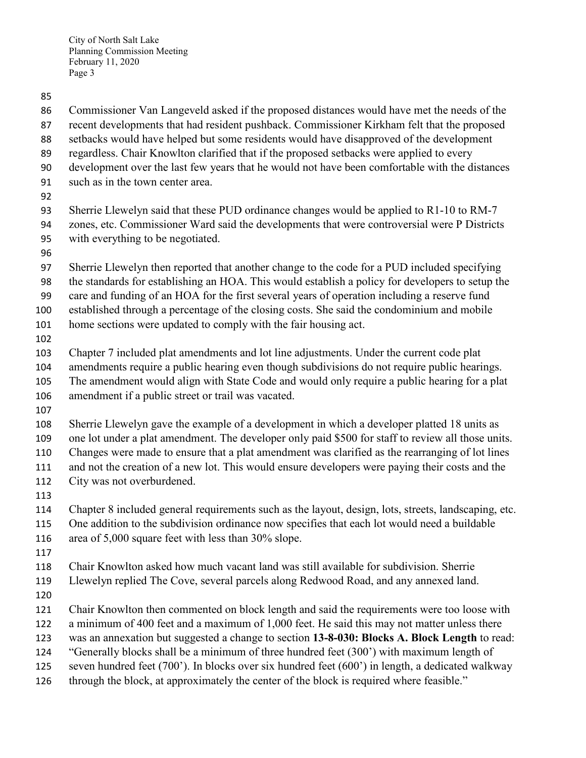- Commissioner Van Langeveld asked if the proposed distances would have met the needs of the
- recent developments that had resident pushback. Commissioner Kirkham felt that the proposed
- setbacks would have helped but some residents would have disapproved of the development
- regardless. Chair Knowlton clarified that if the proposed setbacks were applied to every
- development over the last few years that he would not have been comfortable with the distances
- such as in the town center area.
- 
- Sherrie Llewelyn said that these PUD ordinance changes would be applied to R1-10 to RM-7 zones, etc. Commissioner Ward said the developments that were controversial were P Districts with everything to be negotiated.
- 
- Sherrie Llewelyn then reported that another change to the code for a PUD included specifying
- the standards for establishing an HOA. This would establish a policy for developers to setup the
- care and funding of an HOA for the first several years of operation including a reserve fund
- established through a percentage of the closing costs. She said the condominium and mobile
- home sections were updated to comply with the fair housing act.
- 
- Chapter 7 included plat amendments and lot line adjustments. Under the current code plat amendments require a public hearing even though subdivisions do not require public hearings. The amendment would align with State Code and would only require a public hearing for a plat
- amendment if a public street or trail was vacated.
- 
- Sherrie Llewelyn gave the example of a development in which a developer platted 18 units as
- one lot under a plat amendment. The developer only paid \$500 for staff to review all those units.
- Changes were made to ensure that a plat amendment was clarified as the rearranging of lot lines
- and not the creation of a new lot. This would ensure developers were paying their costs and the
- City was not overburdened.
- 
- Chapter 8 included general requirements such as the layout, design, lots, streets, landscaping, etc.
- One addition to the subdivision ordinance now specifies that each lot would need a buildable area of 5,000 square feet with less than 30% slope.
- 
- Chair Knowlton asked how much vacant land was still available for subdivision. Sherrie
- Llewelyn replied The Cove, several parcels along Redwood Road, and any annexed land.
- 
- Chair Knowlton then commented on block length and said the requirements were too loose with
- a minimum of 400 feet and a maximum of 1,000 feet. He said this may not matter unless there
- was an annexation but suggested a change to section **13-8-030: Blocks A. Block Length** to read:
- "Generally blocks shall be a minimum of three hundred feet (300') with maximum length of
- seven hundred feet (700'). In blocks over six hundred feet (600') in length, a dedicated walkway
- 126 through the block, at approximately the center of the block is required where feasible."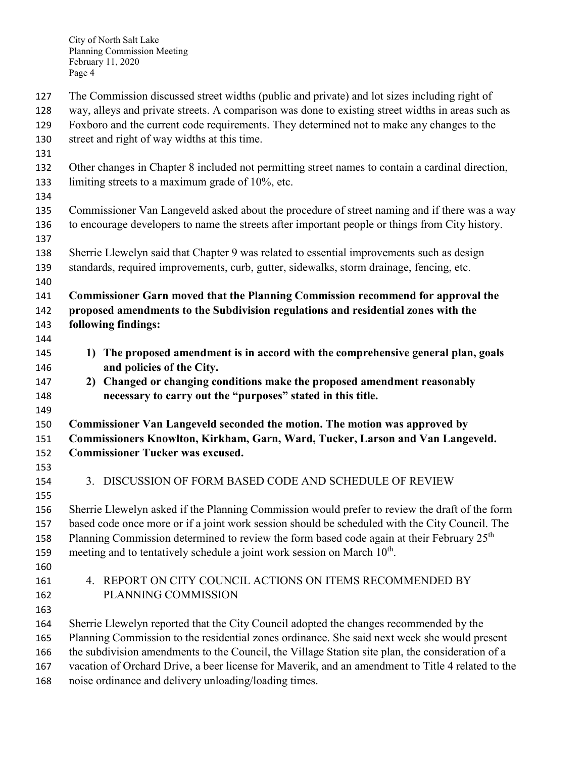- The Commission discussed street widths (public and private) and lot sizes including right of
- way, alleys and private streets. A comparison was done to existing street widths in areas such as
- Foxboro and the current code requirements. They determined not to make any changes to the
- street and right of way widths at this time.
- 
- Other changes in Chapter 8 included not permitting street names to contain a cardinal direction, limiting streets to a maximum grade of 10%, etc.
- 
- Commissioner Van Langeveld asked about the procedure of street naming and if there was a way to encourage developers to name the streets after important people or things from City history.
- Sherrie Llewelyn said that Chapter 9 was related to essential improvements such as design standards, required improvements, curb, gutter, sidewalks, storm drainage, fencing, etc.
- 
- **Commissioner Garn moved that the Planning Commission recommend for approval the**
- **proposed amendments to the Subdivision regulations and residential zones with the following findings:**
- 
- **1) The proposed amendment is in accord with the comprehensive general plan, goals and policies of the City.**
- **2) Changed or changing conditions make the proposed amendment reasonably necessary to carry out the "purposes" stated in this title.**
- 
- **Commissioner Van Langeveld seconded the motion. The motion was approved by Commissioners Knowlton, Kirkham, Garn, Ward, Tucker, Larson and Van Langeveld. Commissioner Tucker was excused.**
- 
- 3. DISCUSSION OF FORM BASED CODE AND SCHEDULE OF REVIEW
- 
- 
- Sherrie Llewelyn asked if the Planning Commission would prefer to review the draft of the form based code once more or if a joint work session should be scheduled with the City Council. The 158 Planning Commission determined to review the form based code again at their February  $25<sup>th</sup>$ 159 meeting and to tentatively schedule a joint work session on March  $10<sup>th</sup>$ .
- 
- 4. REPORT ON CITY COUNCIL ACTIONS ON ITEMS RECOMMENDED BY PLANNING COMMISSION
- 
- Sherrie Llewelyn reported that the City Council adopted the changes recommended by the
- Planning Commission to the residential zones ordinance. She said next week she would present
- the subdivision amendments to the Council, the Village Station site plan, the consideration of a
- vacation of Orchard Drive, a beer license for Maverik, and an amendment to Title 4 related to the
- noise ordinance and delivery unloading/loading times.